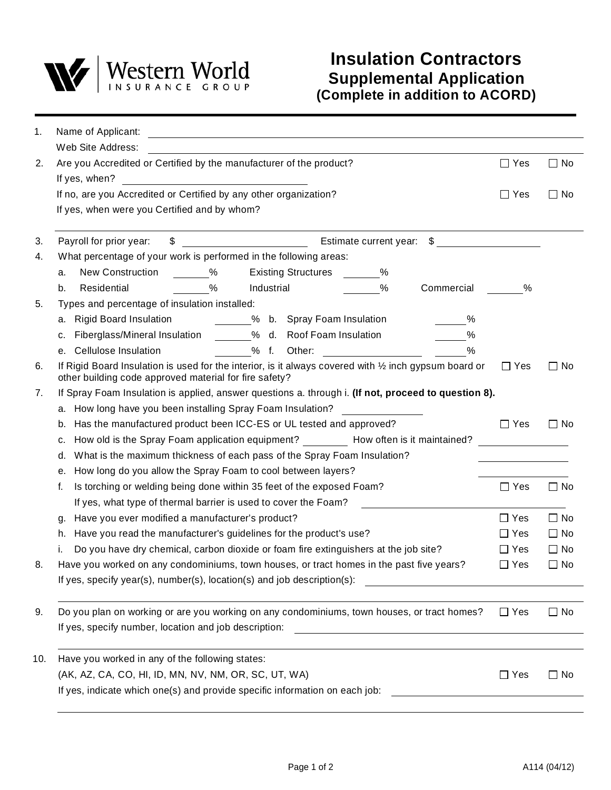

| 1.  | Name of Applicant:                                                                                                                                               |            |           |
|-----|------------------------------------------------------------------------------------------------------------------------------------------------------------------|------------|-----------|
|     | Web Site Address:                                                                                                                                                |            |           |
| 2.  | Are you Accredited or Certified by the manufacturer of the product?                                                                                              | $\Box$ Yes | $\Box$ No |
|     | If yes, when?                                                                                                                                                    |            |           |
|     | If no, are you Accredited or Certified by any other organization?                                                                                                | $\Box$ Yes | $\Box$ No |
|     | If yes, when were you Certified and by whom?                                                                                                                     |            |           |
| 3.  | $\frac{1}{2}$<br>Estimate current year: \$<br>Payroll for prior year:                                                                                            |            |           |
| 4.  | What percentage of your work is performed in the following areas:                                                                                                |            |           |
|     | New Construction %<br><b>Existing Structures</b> %<br>a.                                                                                                         |            |           |
|     | $\sim$ %<br>$\%$<br>Industrial<br>Residential<br>Commercial<br>b.                                                                                                | %          |           |
| 5.  | Types and percentage of insulation installed:                                                                                                                    |            |           |
|     | Rigid Board Insulation 6 % b. Spray Foam Insulation<br>%<br>a.                                                                                                   |            |           |
|     | Fiberglass/Mineral Insulation 9% d. Roof Foam Insulation<br>%<br>c.                                                                                              |            |           |
|     | $\frac{0}{0}$<br>e. Cellulose Insulation<br>% f. Other:                                                                                                          |            |           |
| 6.  | If Rigid Board Insulation is used for the interior, is it always covered with 1/2 inch gypsum board or<br>other building code approved material for fire safety? | $\Box$ Yes | $\Box$ No |
| 7.  | If Spray Foam Insulation is applied, answer questions a. through i. (If not, proceed to question 8).                                                             |            |           |
|     | a. How long have you been installing Spray Foam Insulation?                                                                                                      |            |           |
|     | Has the manufactured product been ICC-ES or UL tested and approved?<br>b.                                                                                        | $\Box$ Yes | $\Box$ No |
|     | How old is the Spray Foam application equipment? How often is it maintained?<br>c.                                                                               |            |           |
|     | What is the maximum thickness of each pass of the Spray Foam Insulation?<br>d.                                                                                   |            |           |
|     | How long do you allow the Spray Foam to cool between layers?<br>е.                                                                                               |            |           |
|     | Is torching or welding being done within 35 feet of the exposed Foam?<br>f.                                                                                      | $\Box$ Yes | $\Box$ No |
|     | If yes, what type of thermal barrier is used to cover the Foam?                                                                                                  |            |           |
|     | Have you ever modified a manufacturer's product?<br>g.                                                                                                           | $\Box$ Yes | $\Box$ No |
|     | Have you read the manufacturer's guidelines for the product's use?<br>h.                                                                                         | $\Box$ Yes | $\Box$ No |
|     | Do you have dry chemical, carbon dioxide or foam fire extinguishers at the job site?<br>i.                                                                       | $\Box$ Yes | $\Box$ No |
| 8.  | Have you worked on any condominiums, town houses, or tract homes in the past five years?                                                                         | $\Box$ Yes | $\Box$ No |
|     | If yes, specify year(s), number(s), location(s) and job description(s):                                                                                          |            |           |
| 9.  | Do you plan on working or are you working on any condominiums, town houses, or tract homes?                                                                      | $\Box$ Yes | $\Box$ No |
|     | If yes, specify number, location and job description:                                                                                                            |            |           |
| 10. | Have you worked in any of the following states:                                                                                                                  |            |           |
|     | (AK, AZ, CA, CO, HI, ID, MN, NV, NM, OR, SC, UT, WA)                                                                                                             | $\Box$ Yes | $\Box$ No |
|     | If yes, indicate which one(s) and provide specific information on each job:                                                                                      |            |           |
|     |                                                                                                                                                                  |            |           |